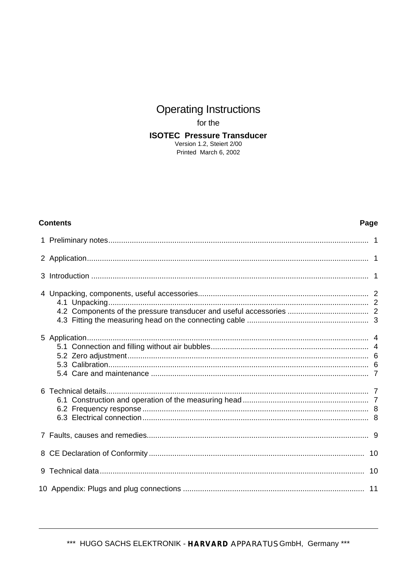# **Operating Instructions**

for the

**ISOTEC Pressure Transducer** 

Version 1.2, Steiert 2/00 Printed March 6, 2002

#### **Contents**

#### Page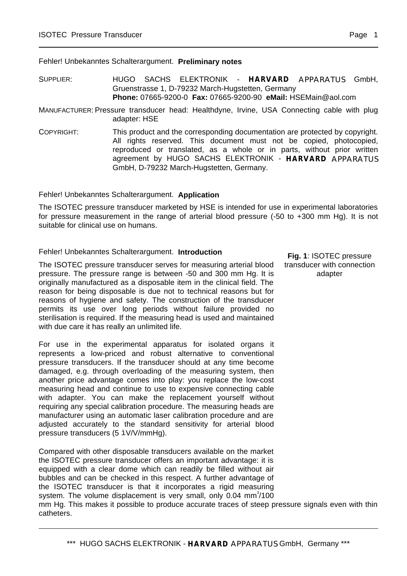Fehler! Unbekanntes Schalterargument. **Preliminary notes**

SUPPLIER: HUGO SACHS ELEKTRONIK - **HARVARD** APPARATUS GmbH, Gruenstrasse 1, D-79232 March-Hugstetten, Germany **Phone:** 07665-9200-0 **Fax:** 07665-9200-90 **eMail:** HSEMain@aol.com

MANUFACTURER: Pressure transducer head: Healthdyne, Irvine, USA Connecting cable with plug adapter: HSE

COPYRIGHT: This product and the corresponding documentation are protected by copyright. All rights reserved. This document must not be copied, photocopied, reproduced or translated, as a whole or in parts, without prior written agreement by HUGO SACHS ELEKTRONIK - **HARVARD** APPARATUS GmbH, D-79232 March-Hugstetten, Germany.

Fehler! Unbekanntes Schalterargument. **Application**

The ISOTEC pressure transducer marketed by HSE is intended for use in experimental laboratories for pressure measurement in the range of arterial blood pressure (-50 to +300 mm Hg). It is not suitable for clinical use on humans.

### Fehler! Unbekanntes Schalterargument. **Introduction**

The ISOTEC pressure transducer serves for measuring arterial blood pressure. The pressure range is between -50 and 300 mm Hg. It is originally manufactured as a disposable item in the clinical field. The reason for being disposable is due not to technical reasons but for reasons of hygiene and safety. The construction of the transducer permits its use over long periods without failure provided no sterilisation is required. If the measuring head is used and maintained with due care it has really an unlimited life.

For use in the experimental apparatus for isolated organs it represents a low-priced and robust alternative to conventional pressure transducers. If the transducer should at any time become damaged, e.g. through overloading of the measuring system, then another price advantage comes into play: you replace the low-cost measuring head and continue to use to expensive connecting cable with adapter. You can make the replacement yourself without requiring any special calibration procedure. The measuring heads are manufacturer using an automatic laser calibration procedure and are adjusted accurately to the standard sensitivity for arterial blood pressure transducers (5 ìV/V/mmHg).

Compared with other disposable transducers available on the market the ISOTEC pressure transducer offers an important advantage: it is equipped with a clear dome which can readily be filled without air bubbles and can be checked in this respect. A further advantage of the ISOTEC transducer is that it incorporates a rigid measuring system. The volume displacement is very small, only  $0.04 \text{ mm}^3/100$ mm Hg. This makes it possible to produce accurate traces of steep pressure signals even with thin catheters.

**Fig. 1**: ISOTEC pressure transducer with connection adapter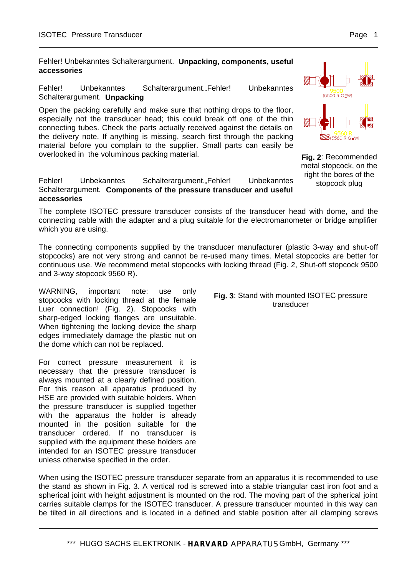Fehler! Unbekanntes Schalterargument. **Unpacking, components, useful accessories**

Fehler! Unbekanntes Schalterargument.**.**Fehler! Unbekanntes Schalterargument. **Unpacking**

Open the packing carefully and make sure that nothing drops to the floor, especially not the transducer head; this could break off one of the thin the delivery note. If anything is missing, search first through the packing material before you complain to the supplier. Small parts can easily be overlooked in the voluminous packing material.

#### Fehler! Unbekanntes Schalterargument.**.**Fehler! Unbekanntes Schalterargument. **Components of the pressure transducer and useful accessories**

The complete ISOTEC pressure transducer consists of the transducer head with dome, and the connecting cable with the adapter and a plug suitable for the electromanometer or bridge amplifier which you are using.

The connecting components supplied by the transducer manufacturer (plastic 3-way and shut-off stopcocks) are not very strong and cannot be re-used many times. Metal stopcocks are better for continuous use. We recommend metal stopcocks with locking thread (Fig. 2, Shut-off stopcock 9500 and 3-way stopcock 9560 R).

WARNING, important note: use only stopcocks with locking thread at the female Luer connection! (Fig. 2). Stopcocks with sharp-edged locking flanges are unsuitable. When tightening the locking device the sharp edges immediately damage the plastic nut on the dome which can not be replaced.

For correct pressure measurement it is necessary that the pressure transducer is always mounted at a clearly defined position. For this reason all apparatus produced by HSE are provided with suitable holders. When the pressure transducer is supplied together with the apparatus the holder is already mounted in the position suitable for the transducer ordered. If no transducer is supplied with the equipment these holders are intended for an ISOTEC pressure transducer unless otherwise specified in the order.

#### **Fig. 3**: Stand with mounted ISOTEC pressure transducer

connecting tubes. Check the parts actually received against the details on

**Fig. 2**: Recommended metal stopcock, on the right the bores of the stopcock plug

When using the ISOTEC pressure transducer separate from an apparatus it is recommended to use the stand as shown in Fig. 3. A vertical rod is screwed into a stable triangular cast iron foot and a spherical joint with height adjustment is mounted on the rod. The moving part of the spherical joint carries suitable clamps for the ISOTEC transducer. A pressure transducer mounted in this way can be tilted in all directions and is located in a defined and stable position after all clamping screws

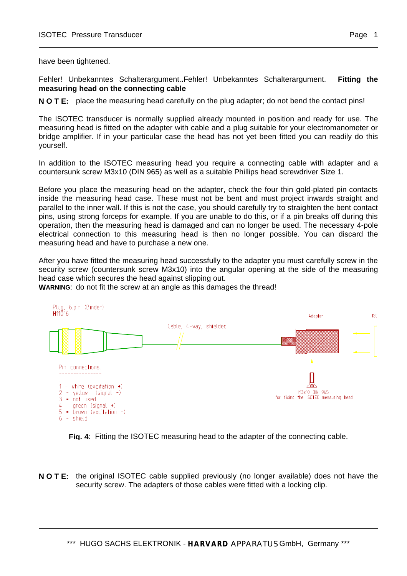have been tightened.

Fehler! Unbekanntes Schalterargument.**.**Fehler! Unbekanntes Schalterargument. **Fitting the measuring head on the connecting cable**

**N O T E:** place the measuring head carefully on the plug adapter; do not bend the contact pins!

The ISOTEC transducer is normally supplied already mounted in position and ready for use. The measuring head is fitted on the adapter with cable and a plug suitable for your electromanometer or bridge amplifier. If in your particular case the head has not yet been fitted you can readily do this yourself.

In addition to the ISOTEC measuring head you require a connecting cable with adapter and a countersunk screw M3x10 (DIN 965) as well as a suitable Phillips head screwdriver Size 1.

Before you place the measuring head on the adapter, check the four thin gold-plated pin contacts inside the measuring head case. These must not be bent and must project inwards straight and parallel to the inner wall. If this is not the case, you should carefully try to straighten the bent contact pins, using strong forceps for example. If you are unable to do this, or if a pin breaks off during this operation, then the measuring head is damaged and can no longer be used. The necessary 4-pole electrical connection to this measuring head is then no longer possible. You can discard the measuring head and have to purchase a new one.

After you have fitted the measuring head successfully to the adapter you must carefully screw in the security screw (countersunk screw M3x10) into the angular opening at the side of the measuring head case which secures the head against slipping out.

**WARNING**: do not fit the screw at an angle as this damages the thread!





**N O T E:** the original ISOTEC cable supplied previously (no longer available) does not have the security screw. The adapters of those cables were fitted with a locking clip.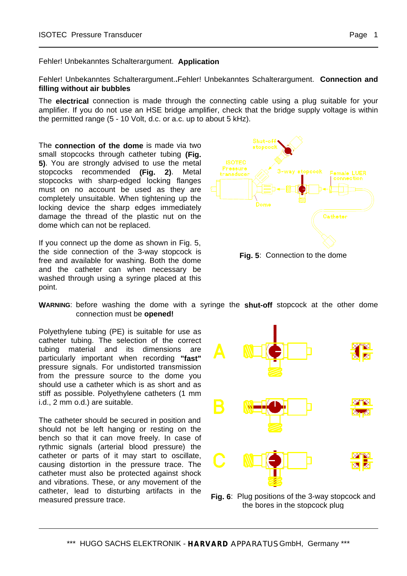Fehler! Unbekanntes Schalterargument.**.**Fehler! Unbekanntes Schalterargument. **Connection and filling without air bubbles**

The **electrical** connection is made through the connecting cable using a plug suitable for your amplifier. If you do not use an HSE bridge amplifier, check that the bridge supply voltage is within the permitted range (5 - 10 Volt, d.c. or a.c. up to about 5 kHz).

The **connection of the dome** is made via two small stopcocks through catheter tubing **(Fig. 5)**. You are strongly advised to use the metal stopcocks recommended **(Fig. 2)**. Metal stopcocks with sharp-edged locking flanges must on no account be used as they are completely unsuitable. When tightening up the locking device the sharp edges immediately damage the thread of the plastic nut on the dome which can not be replaced.

If you connect up the dome as shown in Fig. 5, the side connection of the 3-way stopcock is free and available for washing. Both the dome and the catheter can when necessary be washed through using a syringe placed at this point.



**Fig. 5**: Connection to the dome

**WARNING**: before washing the dome with a syringe the **shut-off** stopcock at the other dome connection must be **opened!**

Polyethylene tubing (PE) is suitable for use as catheter tubing. The selection of the correct tubing material and its dimensions are particularly important when recording **"fast"** pressure signals. For undistorted transmission from the pressure source to the dome you should use a catheter which is as short and as stiff as possible. Polyethylene catheters (1 mm i.d., 2 mm o.d.) are suitable.

The catheter should be secured in position and should not be left hanging or resting on the bench so that it can move freely. In case of rythmic signals (arterial blood pressure) the catheter or parts of it may start to oscillate, causing distortion in the pressure trace. The catheter must also be protected against shock and vibrations. These, or any movement of the catheter, lead to disturbing artifacts in the measured pressure trace.



**Fig. 6**: Plug positions of the 3-way stopcock and the bores in the stopcock plug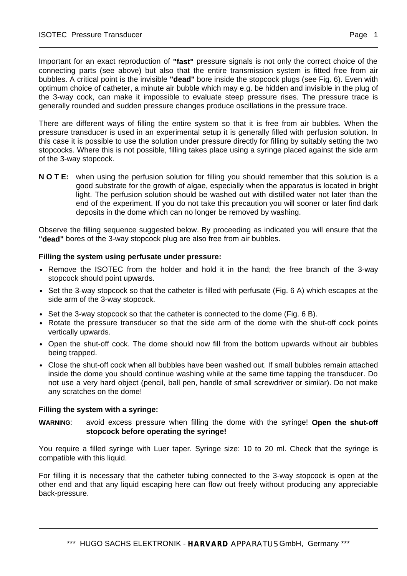Important for an exact reproduction of **"fast"** pressure signals is not only the correct choice of the connecting parts (see above) but also that the entire transmission system is fitted free from air bubbles. A critical point is the invisible **"dead"** bore inside the stopcock plugs (see Fig. 6). Even with optimum choice of catheter, a minute air bubble which may e.g. be hidden and invisible in the plug of the 3-way cock, can make it impossible to evaluate steep pressure rises. The pressure trace is generally rounded and sudden pressure changes produce oscillations in the pressure trace.

There are different ways of filling the entire system so that it is free from air bubbles. When the pressure transducer is used in an experimental setup it is generally filled with perfusion solution. In this case it is possible to use the solution under pressure directly for filling by suitably setting the two stopcocks. Where this is not possible, filling takes place using a syringe placed against the side arm of the 3-way stopcock.

**N O T E:** when using the perfusion solution for filling you should remember that this solution is a good substrate for the growth of algae, especially when the apparatus is located in bright light. The perfusion solution should be washed out with distilled water not later than the end of the experiment. If you do not take this precaution you will sooner or later find dark deposits in the dome which can no longer be removed by washing.

Observe the filling sequence suggested below. By proceeding as indicated you will ensure that the **"dead"** bores of the 3-way stopcock plug are also free from air bubbles.

## **Filling the system using perfusate under pressure:**

- Remove the ISOTEC from the holder and hold it in the hand; the free branch of the 3-way stopcock should point upwards.
- Set the 3-way stopcock so that the catheter is filled with perfusate (Fig. 6 A) which escapes at the side arm of the 3-way stopcock.
- Set the 3-way stopcock so that the catheter is connected to the dome (Fig. 6 B).
- Rotate the pressure transducer so that the side arm of the dome with the shut-off cock points vertically upwards.
- Open the shut-off cock. The dome should now fill from the bottom upwards without air bubbles being trapped.
- Close the shut-off cock when all bubbles have been washed out. If small bubbles remain attached inside the dome you should continue washing while at the same time tapping the transducer. Do not use a very hard object (pencil, ball pen, handle of small screwdriver or similar). Do not make any scratches on the dome!

### **Filling the system with a syringe:**

**WARNING**: avoid excess pressure when filling the dome with the syringe! **Open the shut-off stopcock before operating the syringe!**

You require a filled syringe with Luer taper. Syringe size: 10 to 20 ml. Check that the syringe is compatible with this liquid.

For filling it is necessary that the catheter tubing connected to the 3-way stopcock is open at the other end and that any liquid escaping here can flow out freely without producing any appreciable back-pressure.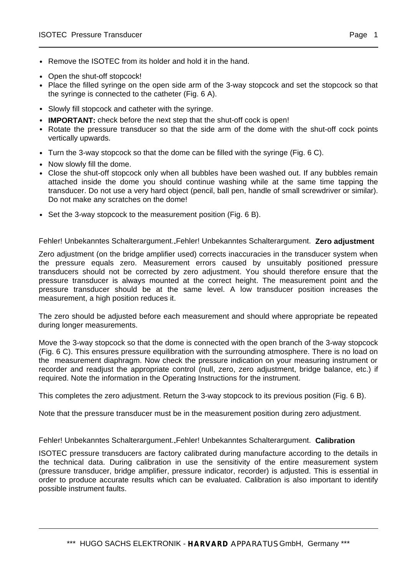- Remove the ISOTEC from its holder and hold it in the hand.
- Open the shut-off stopcock!
- Place the filled syringe on the open side arm of the 3-way stopcock and set the stopcock so that the syringe is connected to the catheter (Fig. 6 A).
- Slowly fill stopcock and catheter with the syringe.
- **IMPORTANT:** check before the next step that the shut-off cock is open!
- Rotate the pressure transducer so that the side arm of the dome with the shut-off cock points vertically upwards.
- Turn the 3-way stopcock so that the dome can be filled with the syringe (Fig. 6 C).
- Now slowly fill the dome.
- Close the shut-off stopcock only when all bubbles have been washed out. If any bubbles remain attached inside the dome you should continue washing while at the same time tapping the transducer. Do not use a very hard object (pencil, ball pen, handle of small screwdriver or similar). Do not make any scratches on the dome!
- Set the 3-way stopcock to the measurement position (Fig. 6 B).

### Fehler! Unbekanntes Schalterargument.**.**Fehler! Unbekanntes Schalterargument. **Zero adjustment**

Zero adjustment (on the bridge amplifier used) corrects inaccuracies in the transducer system when the pressure equals zero. Measurement errors caused by unsuitably positioned pressure transducers should not be corrected by zero adjustment. You should therefore ensure that the pressure transducer is always mounted at the correct height. The measurement point and the pressure transducer should be at the same level. A low transducer position increases the measurement, a high position reduces it.

The zero should be adjusted before each measurement and should where appropriate be repeated during longer measurements.

Move the 3-way stopcock so that the dome is connected with the open branch of the 3-way stopcock (Fig. 6 C). This ensures pressure equilibration with the surrounding atmosphere. There is no load on the measurement diaphragm. Now check the pressure indication on your measuring instrument or recorder and readjust the appropriate control (null, zero, zero adjustment, bridge balance, etc.) if required. Note the information in the Operating Instructions for the instrument.

This completes the zero adjustment. Return the 3-way stopcock to its previous position (Fig. 6 B).

Note that the pressure transducer must be in the measurement position during zero adjustment.

### Fehler! Unbekanntes Schalterargument.**.**Fehler! Unbekanntes Schalterargument. **Calibration**

ISOTEC pressure transducers are factory calibrated during manufacture according to the details in the technical data. During calibration in use the sensitivity of the entire measurement system (pressure transducer, bridge amplifier, pressure indicator, recorder) is adjusted. This is essential in order to produce accurate results which can be evaluated. Calibration is also important to identify possible instrument faults.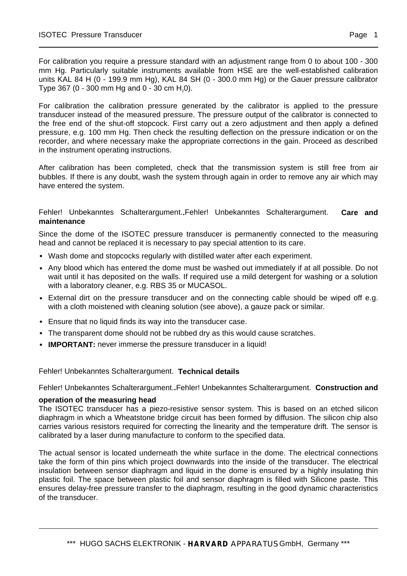For calibration you require a pressure standard with an adjustment range from 0 to about 100 - 300 mm Hg. Particularly suitable instruments available from HSE are the well-established calibration units KAL 84 H (0 - 199.9 mm Hg), KAL 84 SH (0 - 300.0 mm Hg) or the Gauer pressure calibrator Type 367 (0 - 300 mm Hg and 0 - 30 cm H<sub>2</sub>0).

For calibration the calibration pressure generated by the calibrator is applied to the pressure transducer instead of the measured pressure. The pressure output of the calibrator is connected to the free end of the shut-off stopcock. First carry out a zero adjustment and then apply a defined pressure, e.g. 100 mm Hg. Then check the resulting deflection on the pressure indication or on the recorder, and where necessary make the appropriate corrections in the gain. Proceed as described in the instrument operating instructions.

After calibration has been completed, check that the transmission system is still free from air bubbles. If there is any doubt, wash the system through again in order to remove any air which may have entered the system.

## Fehler! Unbekanntes Schalterargument.**.**Fehler! Unbekanntes Schalterargument. **Care and maintenance**

Since the dome of the ISOTEC pressure transducer is permanently connected to the measuring head and cannot be replaced it is necessary to pay special attention to its care.

- Wash dome and stopcocks regularly with distilled water after each experiment.
- Any blood which has entered the dome must be washed out immediately if at all possible. Do not wait until it has deposited on the walls. If required use a mild detergent for washing or a solution with a laboratory cleaner, e.g. RBS 35 or MUCASOL.
- External dirt on the pressure transducer and on the connecting cable should be wiped off e.g. with a cloth moistened with cleaning solution (see above), a gauze pack or similar.
- Ensure that no liquid finds its way into the transducer case.
- The transparent dome should not be rubbed dry as this would cause scratches.
- **IMPORTANT:** never immerse the pressure transducer in a liquid!

Fehler! Unbekanntes Schalterargument. **Technical details**

Fehler! Unbekanntes Schalterargument.**.**Fehler! Unbekanntes Schalterargument. **Construction and** 

### **operation of the measuring head**

The ISOTEC transducer has a piezo-resistive sensor system. This is based on an etched silicon diaphragm in which a Wheatstone bridge circuit has been formed by diffusion. The silicon chip also carries various resistors required for correcting the linearity and the temperature drift. The sensor is calibrated by a laser during manufacture to conform to the specified data.

The actual sensor is located underneath the white surface in the dome. The electrical connections take the form of thin pins which project downwards into the inside of the transducer. The electrical insulation between sensor diaphragm and liquid in the dome is ensured by a highly insulating thin plastic foil. The space between plastic foil and sensor diaphragm is filled with Silicone paste. This ensures delay-free pressure transfer to the diaphragm, resulting in the good dynamic characteristics of the transducer.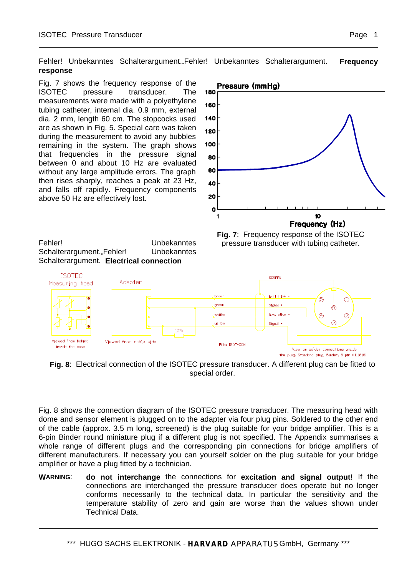Fehler! Unbekanntes Schalterargument.**.**Fehler! Unbekanntes Schalterargument. **Frequency response**

Fig. 7 shows the frequency response of the ISOTEC pressure transducer. The measurements were made with a polyethylene tubing catheter, internal dia. 0.9 mm, external dia. 2 mm, length 60 cm. The stopcocks used are as shown in Fig. 5. Special care was taken during the measurement to avoid any bubbles remaining in the system. The graph shows that frequencies in the pressure signal between 0 and about 10 Hz are evaluated without any large amplitude errors. The graph then rises sharply, reaches a peak at 23 Hz, and falls off rapidly. Frequency components above 50 Hz are effectively lost.



Fehler! Unbekanntes Schalterargument.**.**Fehler! Unbekanntes Schalterargument. **Electrical connection**

**Fig. 7**: Frequency response of the ISOTEC pressure transducer with tubing catheter.



**Fig. 8**: Electrical connection of the ISOTEC pressure transducer. A different plug can be fitted to special order.

Fig. 8 shows the connection diagram of the ISOTEC pressure transducer. The measuring head with dome and sensor element is plugged on to the adapter via four plug pins. Soldered to the other end of the cable (approx. 3.5 m long, screened) is the plug suitable for your bridge amplifier. This is a 6-pin Binder round miniature plug if a different plug is not specified. The Appendix summarises a whole range of different plugs and the corresponding pin connections for bridge amplifiers of different manufacturers. If necessary you can yourself solder on the plug suitable for your bridge amplifier or have a plug fitted by a technician.

**WARNING**: **do not interchange** the connections for **excitation and signal output!** If the connections are interchanged the pressure transducer does operate but no longer conforms necessarily to the technical data. In particular the sensitivity and the temperature stability of zero and gain are worse than the values shown under Technical Data.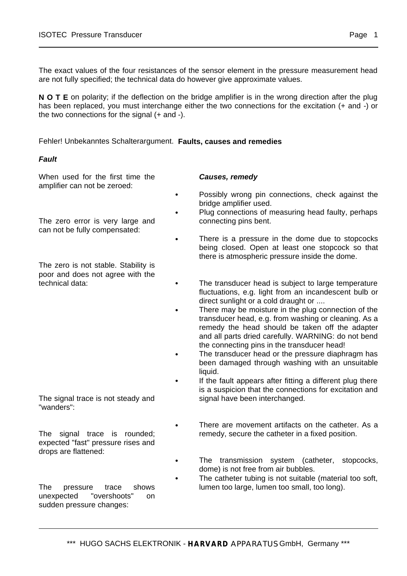The exact values of the four resistances of the sensor element in the pressure measurement head are not fully specified; the technical data do however give approximate values.

**N O T E** on polarity; if the deflection on the bridge amplifier is in the wrong direction after the plug has been replaced, you must interchange either the two connections for the excitation (+ and -) or the two connections for the signal (+ and -).

Fehler! Unbekanntes Schalterargument. **Faults, causes and remedies**

## **Fault**

When used for the first time the amplifier can not be zeroed:

The zero error is very large and can not be fully compensated:

The zero is not stable. Stability is poor and does not agree with the technical data:

The signal trace is not steady and "wanders":

The signal trace is rounded; expected "fast" pressure rises and drops are flattened:

The pressure trace shows unexpected "overshoots" on sudden pressure changes:

## **Causes, remedy**

- Possibly wrong pin connections, check against the bridge amplifier used.
	- Plug connections of measuring head faulty, perhaps connecting pins bent.
- There is a pressure in the dome due to stopcocks being closed. Open at least one stopcock so that there is atmospheric pressure inside the dome.
- The transducer head is subject to large temperature fluctuations, e.g. light from an incandescent bulb or direct sunlight or a cold draught or ....
- There may be moisture in the plug connection of the transducer head, e.g. from washing or cleaning. As a remedy the head should be taken off the adapter and all parts dried carefully. WARNING: do not bend the connecting pins in the transducer head!
- The transducer head or the pressure diaphragm has been damaged through washing with an unsuitable liquid.
	- If the fault appears after fitting a different plug there is a suspicion that the connections for excitation and signal have been interchanged.
	- There are movement artifacts on the catheter. As a remedy, secure the catheter in a fixed position.
- The transmission system (catheter, stopcocks, dome) is not free from air bubbles.
- The catheter tubing is not suitable (material too soft, lumen too large, lumen too small, too long).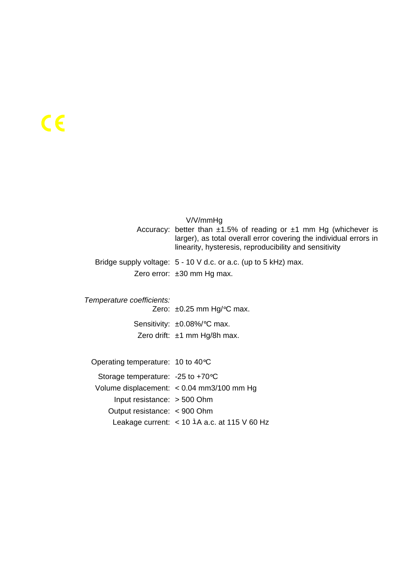|                           | V/V/mmHg<br>Accuracy: better than $\pm 1.5\%$ of reading or $\pm 1$ mm Hg (whichever is<br>larger), as total overall error covering the individual errors in<br>linearity, hysteresis, reproducibility and sensitivity |
|---------------------------|------------------------------------------------------------------------------------------------------------------------------------------------------------------------------------------------------------------------|
|                           | Bridge supply voltage: 5 - 10 V d.c. or a.c. (up to 5 kHz) max.<br>Zero error: $\pm 30$ mm Hg max.                                                                                                                     |
| Temperature coefficients: |                                                                                                                                                                                                                        |

Zero: ±0.25 mm Hg/°C max. Sensitivity: ±0.08%/°C max. Zero drift: ±1 mm Hg/8h max.

Operating temperature: 10 to 40°C

Storage temperature: -25 to +70°C Volume displacement: < 0.04 mm3/100 mm Hg Input resistance: > 500 Ohm Output resistance: < 900 Ohm Leakage current: < 10 ìA a.c. at 115 V 60 Hz